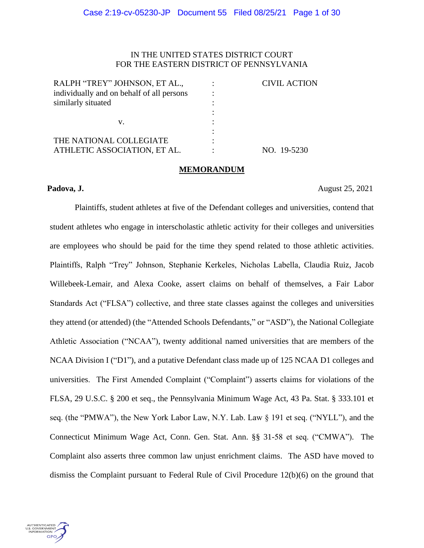## IN THE UNITED STATES DISTRICT COURT FOR THE EASTERN DISTRICT OF PENNSYLVANIA

| RALPH "TREY" JOHNSON, ET AL.,             | <b>CIVIL ACTION</b> |
|-------------------------------------------|---------------------|
| individually and on behalf of all persons |                     |
| similarly situated                        |                     |
|                                           |                     |
| v.                                        |                     |
|                                           |                     |
| THE NATIONAL COLLEGIATE                   |                     |
| ATHLETIC ASSOCIATION, ET AL.              | NO. 19-5230         |

#### **MEMORANDUM**

**Padova, J.** August 25, 2021

Plaintiffs, student athletes at five of the Defendant colleges and universities, contend that student athletes who engage in interscholastic athletic activity for their colleges and universities are employees who should be paid for the time they spend related to those athletic activities. Plaintiffs, Ralph "Trey" Johnson, Stephanie Kerkeles, Nicholas Labella, Claudia Ruiz, Jacob Willebeek-Lemair, and Alexa Cooke, assert claims on behalf of themselves, a Fair Labor Standards Act ("FLSA") collective, and three state classes against the colleges and universities they attend (or attended) (the "Attended Schools Defendants," or "ASD"), the National Collegiate Athletic Association ("NCAA"), twenty additional named universities that are members of the NCAA Division I ("D1"), and a putative Defendant class made up of 125 NCAA D1 colleges and universities. The First Amended Complaint ("Complaint") asserts claims for violations of the FLSA, 29 U.S.C. § 200 et seq., the Pennsylvania Minimum Wage Act, 43 Pa. Stat. § 333.101 et seq. (the "PMWA"), the New York Labor Law, N.Y. Lab. Law § 191 et seq. ("NYLL"), and the Connecticut Minimum Wage Act, Conn. Gen. Stat. Ann. §§ 31-58 et seq. ("CMWA"). The Complaint also asserts three common law unjust enrichment claims. The ASD have moved to dismiss the Complaint pursuant to Federal Rule of Civil Procedure 12(b)(6) on the ground that

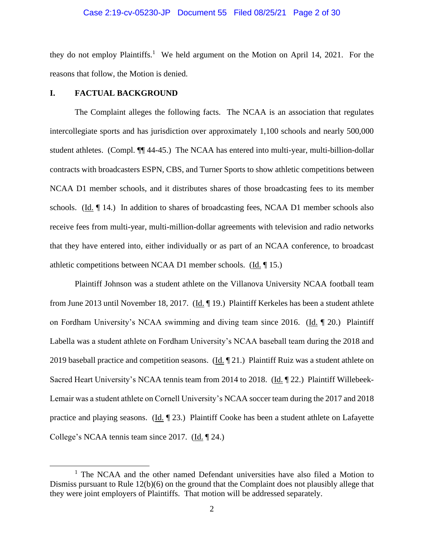#### Case 2:19-cv-05230-JP Document 55 Filed 08/25/21 Page 2 of 30

they do not employ Plaintiffs.<sup>1</sup> We held argument on the Motion on April 14, 2021. For the reasons that follow, the Motion is denied.

#### **I. FACTUAL BACKGROUND**

The Complaint alleges the following facts. The NCAA is an association that regulates intercollegiate sports and has jurisdiction over approximately 1,100 schools and nearly 500,000 student athletes. (Compl. ¶¶ 44-45.) The NCAA has entered into multi-year, multi-billion-dollar contracts with broadcasters ESPN, CBS, and Turner Sports to show athletic competitions between NCAA D1 member schools, and it distributes shares of those broadcasting fees to its member schools. (Id. ¶ 14.) In addition to shares of broadcasting fees, NCAA D1 member schools also receive fees from multi-year, multi-million-dollar agreements with television and radio networks that they have entered into, either individually or as part of an NCAA conference, to broadcast athletic competitions between NCAA D1 member schools. (Id. ¶ 15.)

Plaintiff Johnson was a student athlete on the Villanova University NCAA football team from June 2013 until November 18, 2017. (Id. 19.) Plaintiff Kerkeles has been a student athlete on Fordham University's NCAA swimming and diving team since 2016. (Id. ¶ 20.) Plaintiff Labella was a student athlete on Fordham University's NCAA baseball team during the 2018 and 2019 baseball practice and competition seasons. (Id.  $\llbracket 21.$ ) Plaintiff Ruiz was a student athlete on Sacred Heart University's NCAA tennis team from 2014 to 2018. (Id. ¶ 22.) Plaintiff Willebeek-Lemair was a student athlete on Cornell University's NCAA soccer team during the 2017 and 2018 practice and playing seasons. (Id. ¶ 23.) Plaintiff Cooke has been a student athlete on Lafayette College's NCAA tennis team since 2017. (Id. 124.)

 $1$  The NCAA and the other named Defendant universities have also filed a Motion to Dismiss pursuant to Rule 12(b)(6) on the ground that the Complaint does not plausibly allege that they were joint employers of Plaintiffs. That motion will be addressed separately.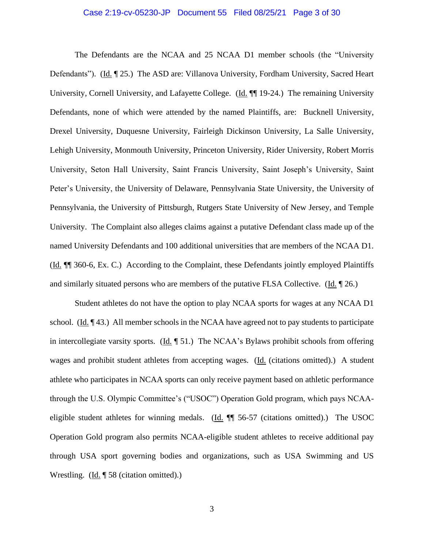#### Case 2:19-cv-05230-JP Document 55 Filed 08/25/21 Page 3 of 30

The Defendants are the NCAA and 25 NCAA D1 member schools (the "University Defendants"). (Id. ¶ 25.) The ASD are: Villanova University, Fordham University, Sacred Heart University, Cornell University, and Lafayette College. (Id. ¶¶ 19-24.) The remaining University Defendants, none of which were attended by the named Plaintiffs, are: Bucknell University, Drexel University, Duquesne University, Fairleigh Dickinson University, La Salle University, Lehigh University, Monmouth University, Princeton University, Rider University, Robert Morris University, Seton Hall University, Saint Francis University, Saint Joseph's University, Saint Peter's University, the University of Delaware, Pennsylvania State University, the University of Pennsylvania, the University of Pittsburgh, Rutgers State University of New Jersey, and Temple University. The Complaint also alleges claims against a putative Defendant class made up of the named University Defendants and 100 additional universities that are members of the NCAA D1. (Id. ¶¶ 360-6, Ex. C.) According to the Complaint, these Defendants jointly employed Plaintiffs and similarly situated persons who are members of the putative FLSA Collective. (Id. ¶ 26.)

Student athletes do not have the option to play NCAA sports for wages at any NCAA D1 school. (Id.  $\P$ 43.) All member schools in the NCAA have agreed not to pay students to participate in intercollegiate varsity sports. ( $\underline{Id}$ ,  $\P$  51.) The NCAA's Bylaws prohibit schools from offering wages and prohibit student athletes from accepting wages. (Id. (citations omitted).) A student athlete who participates in NCAA sports can only receive payment based on athletic performance through the U.S. Olympic Committee's ("USOC") Operation Gold program, which pays NCAAeligible student athletes for winning medals. (Id. ¶¶ 56-57 (citations omitted).) The USOC Operation Gold program also permits NCAA-eligible student athletes to receive additional pay through USA sport governing bodies and organizations, such as USA Swimming and US Wrestling. (Id. 158 (citation omitted).)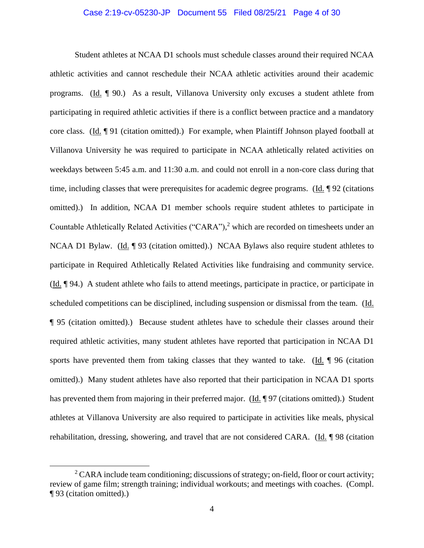#### Case 2:19-cv-05230-JP Document 55 Filed 08/25/21 Page 4 of 30

Student athletes at NCAA D1 schools must schedule classes around their required NCAA athletic activities and cannot reschedule their NCAA athletic activities around their academic programs. (Id. ¶ 90.) As a result, Villanova University only excuses a student athlete from participating in required athletic activities if there is a conflict between practice and a mandatory core class. (Id. ¶ 91 (citation omitted).) For example, when Plaintiff Johnson played football at Villanova University he was required to participate in NCAA athletically related activities on weekdays between 5:45 a.m. and 11:30 a.m. and could not enroll in a non-core class during that time, including classes that were prerequisites for academic degree programs. (Id. ¶ 92 (citations omitted).) In addition, NCAA D1 member schools require student athletes to participate in Countable Athletically Related Activities ("CARA"), <sup>2</sup> which are recorded on timesheets under an NCAA D1 Bylaw. (Id. 193 (citation omitted).) NCAA Bylaws also require student athletes to participate in Required Athletically Related Activities like fundraising and community service. (Id. ¶ 94.) A student athlete who fails to attend meetings, participate in practice, or participate in scheduled competitions can be disciplined, including suspension or dismissal from the team. (Id. ¶ 95 (citation omitted).) Because student athletes have to schedule their classes around their required athletic activities, many student athletes have reported that participation in NCAA D1 sports have prevented them from taking classes that they wanted to take. (Id. 196 (citation omitted).) Many student athletes have also reported that their participation in NCAA D1 sports has prevented them from majoring in their preferred major. (Id. 197 (citations omitted).) Student athletes at Villanova University are also required to participate in activities like meals, physical rehabilitation, dressing, showering, and travel that are not considered CARA. (Id. ¶ 98 (citation

<sup>&</sup>lt;sup>2</sup> CARA include team conditioning; discussions of strategy; on-field, floor or court activity; review of game film; strength training; individual workouts; and meetings with coaches. (Compl. ¶ 93 (citation omitted).)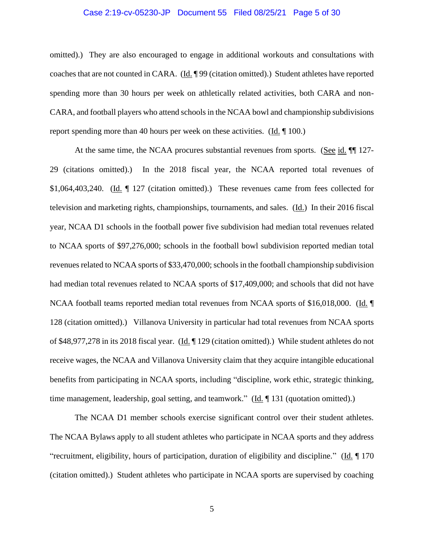#### Case 2:19-cv-05230-JP Document 55 Filed 08/25/21 Page 5 of 30

omitted).) They are also encouraged to engage in additional workouts and consultations with coaches that are not counted in CARA. (Id. ¶ 99 (citation omitted).) Student athletes have reported spending more than 30 hours per week on athletically related activities, both CARA and non-CARA, and football players who attend schools in the NCAA bowl and championship subdivisions report spending more than 40 hours per week on these activities. (Id. ¶ 100.)

At the same time, the NCAA procures substantial revenues from sports. (See id. ¶ 127-29 (citations omitted).) In the 2018 fiscal year, the NCAA reported total revenues of \$1,064,403,240. (Id. ¶ 127 (citation omitted).) These revenues came from fees collected for television and marketing rights, championships, tournaments, and sales. (Id.) In their 2016 fiscal year, NCAA D1 schools in the football power five subdivision had median total revenues related to NCAA sports of \$97,276,000; schools in the football bowl subdivision reported median total revenues related to NCAA sports of \$33,470,000; schools in the football championship subdivision had median total revenues related to NCAA sports of \$17,409,000; and schools that did not have NCAA football teams reported median total revenues from NCAA sports of \$16,018,000. (Id. ¶ 128 (citation omitted).) Villanova University in particular had total revenues from NCAA sports of \$48,977,278 in its 2018 fiscal year. (Id. ¶ 129 (citation omitted).) While student athletes do not receive wages, the NCAA and Villanova University claim that they acquire intangible educational benefits from participating in NCAA sports, including "discipline, work ethic, strategic thinking, time management, leadership, goal setting, and teamwork." (Id. 131 (quotation omitted).)

The NCAA D1 member schools exercise significant control over their student athletes. The NCAA Bylaws apply to all student athletes who participate in NCAA sports and they address "recruitment, eligibility, hours of participation, duration of eligibility and discipline." (Id. ¶ 170 (citation omitted).) Student athletes who participate in NCAA sports are supervised by coaching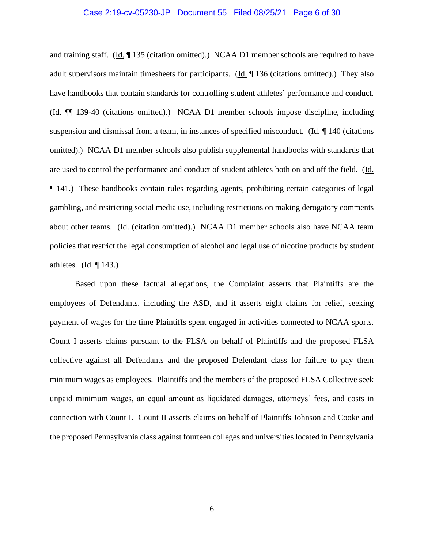#### Case 2:19-cv-05230-JP Document 55 Filed 08/25/21 Page 6 of 30

and training staff.  $(\underline{Id}, \P 135$  (citation omitted).) NCAA D1 member schools are required to have adult supervisors maintain timesheets for participants. (Id. ¶ 136 (citations omitted).) They also have handbooks that contain standards for controlling student athletes' performance and conduct. (Id. ¶¶ 139-40 (citations omitted).) NCAA D1 member schools impose discipline, including suspension and dismissal from a team, in instances of specified misconduct. (Id. ¶ 140 (citations omitted).) NCAA D1 member schools also publish supplemental handbooks with standards that are used to control the performance and conduct of student athletes both on and off the field. (Id. ¶ 141.) These handbooks contain rules regarding agents, prohibiting certain categories of legal gambling, and restricting social media use, including restrictions on making derogatory comments about other teams. (Id. (citation omitted).) NCAA D1 member schools also have NCAA team policies that restrict the legal consumption of alcohol and legal use of nicotine products by student athletes.  $(\underline{Id}, \P 143.)$ 

Based upon these factual allegations, the Complaint asserts that Plaintiffs are the employees of Defendants, including the ASD, and it asserts eight claims for relief, seeking payment of wages for the time Plaintiffs spent engaged in activities connected to NCAA sports. Count I asserts claims pursuant to the FLSA on behalf of Plaintiffs and the proposed FLSA collective against all Defendants and the proposed Defendant class for failure to pay them minimum wages as employees. Plaintiffs and the members of the proposed FLSA Collective seek unpaid minimum wages, an equal amount as liquidated damages, attorneys' fees, and costs in connection with Count I. Count II asserts claims on behalf of Plaintiffs Johnson and Cooke and the proposed Pennsylvania class against fourteen colleges and universities located in Pennsylvania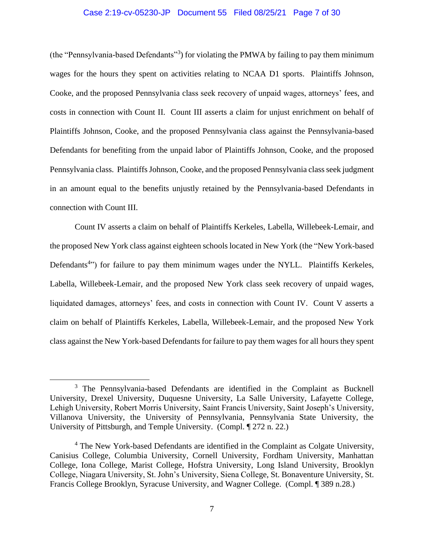#### Case 2:19-cv-05230-JP Document 55 Filed 08/25/21 Page 7 of 30

(the "Pennsylvania-based Defendants"<sup>3</sup>) for violating the PMWA by failing to pay them minimum wages for the hours they spent on activities relating to NCAA D1 sports. Plaintiffs Johnson, Cooke, and the proposed Pennsylvania class seek recovery of unpaid wages, attorneys' fees, and costs in connection with Count II. Count III asserts a claim for unjust enrichment on behalf of Plaintiffs Johnson, Cooke, and the proposed Pennsylvania class against the Pennsylvania-based Defendants for benefiting from the unpaid labor of Plaintiffs Johnson, Cooke, and the proposed Pennsylvania class. Plaintiffs Johnson, Cooke, and the proposed Pennsylvania class seek judgment in an amount equal to the benefits unjustly retained by the Pennsylvania-based Defendants in connection with Count III.

Count IV asserts a claim on behalf of Plaintiffs Kerkeles, Labella, Willebeek-Lemair, and the proposed New York class against eighteen schools located in New York (the "New York-based Defendants<sup>4</sup><sup>\*</sup>) for failure to pay them minimum wages under the NYLL. Plaintiffs Kerkeles, Labella, Willebeek-Lemair, and the proposed New York class seek recovery of unpaid wages, liquidated damages, attorneys' fees, and costs in connection with Count IV. Count V asserts a claim on behalf of Plaintiffs Kerkeles, Labella, Willebeek-Lemair, and the proposed New York class against the New York-based Defendants for failure to pay them wages for all hours they spent

<sup>3</sup> The Pennsylvania-based Defendants are identified in the Complaint as Bucknell University, Drexel University, Duquesne University, La Salle University, Lafayette College, Lehigh University, Robert Morris University, Saint Francis University, Saint Joseph's University, Villanova University, the University of Pennsylvania, Pennsylvania State University, the University of Pittsburgh, and Temple University. (Compl. ¶ 272 n. 22.)

<sup>&</sup>lt;sup>4</sup> The New York-based Defendants are identified in the Complaint as Colgate University, Canisius College, Columbia University, Cornell University, Fordham University, Manhattan College, Iona College, Marist College, Hofstra University, Long Island University, Brooklyn College, Niagara University, St. John's University, Siena College, St. Bonaventure University, St. Francis College Brooklyn, Syracuse University, and Wagner College. (Compl. ¶ 389 n.28.)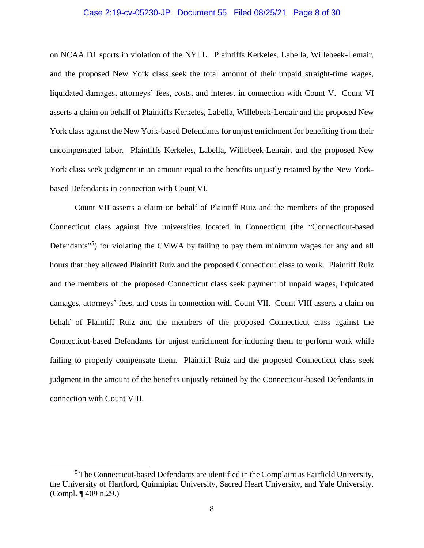#### Case 2:19-cv-05230-JP Document 55 Filed 08/25/21 Page 8 of 30

on NCAA D1 sports in violation of the NYLL. Plaintiffs Kerkeles, Labella, Willebeek-Lemair, and the proposed New York class seek the total amount of their unpaid straight-time wages, liquidated damages, attorneys' fees, costs, and interest in connection with Count V. Count VI asserts a claim on behalf of Plaintiffs Kerkeles, Labella, Willebeek-Lemair and the proposed New York class against the New York-based Defendants for unjust enrichment for benefiting from their uncompensated labor. Plaintiffs Kerkeles, Labella, Willebeek-Lemair, and the proposed New York class seek judgment in an amount equal to the benefits unjustly retained by the New Yorkbased Defendants in connection with Count VI.

Count VII asserts a claim on behalf of Plaintiff Ruiz and the members of the proposed Connecticut class against five universities located in Connecticut (the "Connecticut-based Defendants<sup>"5</sup>) for violating the CMWA by failing to pay them minimum wages for any and all hours that they allowed Plaintiff Ruiz and the proposed Connecticut class to work. Plaintiff Ruiz and the members of the proposed Connecticut class seek payment of unpaid wages, liquidated damages, attorneys' fees, and costs in connection with Count VII. Count VIII asserts a claim on behalf of Plaintiff Ruiz and the members of the proposed Connecticut class against the Connecticut-based Defendants for unjust enrichment for inducing them to perform work while failing to properly compensate them. Plaintiff Ruiz and the proposed Connecticut class seek judgment in the amount of the benefits unjustly retained by the Connecticut-based Defendants in connection with Count VIII.

 $<sup>5</sup>$  The Connecticut-based Defendants are identified in the Complaint as Fairfield University,</sup> the University of Hartford, Quinnipiac University, Sacred Heart University, and Yale University. (Compl. ¶ 409 n.29.)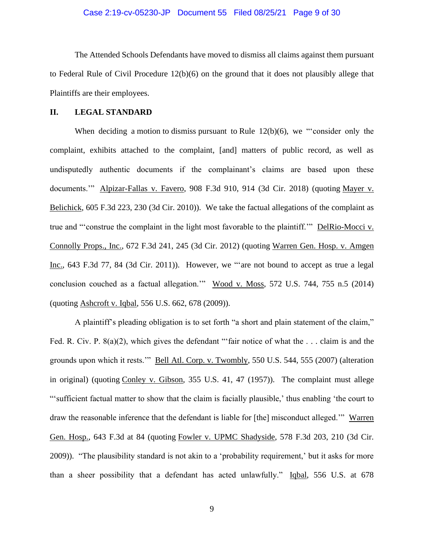The Attended Schools Defendants have moved to dismiss all claims against them pursuant to Federal Rule of Civil Procedure 12(b)(6) on the ground that it does not plausibly allege that Plaintiffs are their employees.

#### **II. LEGAL STANDARD**

When deciding a motion to dismiss pursuant to Rule 12(b)(6), we "consider only the complaint, exhibits attached to the complaint, [and] matters of public record, as well as undisputedly authentic documents if the complainant's claims are based upon these documents.'" Alpizar-Fallas v. Favero, 908 F.3d 910, 914 (3d Cir. 2018) (quoting Mayer v. Belichick, 605 F.3d 223, 230 (3d Cir. 2010)). We take the factual allegations of the complaint as true and "'construe the complaint in the light most favorable to the plaintiff.'" DelRio-Mocci v. Connolly Props., Inc., 672 F.3d 241, 245 (3d Cir. 2012) (quoting Warren Gen. Hosp. v. Amgen Inc., 643 F.3d 77, 84 (3d Cir. 2011)). However, we "'are not bound to accept as true a legal conclusion couched as a factual allegation.'" Wood v. Moss, 572 U.S. 744, 755 n.5 (2014) (quoting Ashcroft v. Iqbal, 556 U.S. 662, 678 (2009)).

A plaintiff's pleading obligation is to set forth "a short and plain statement of the claim," Fed. R. Civ. P. 8(a)(2), which gives the defendant "'fair notice of what the ... claim is and the grounds upon which it rests.'" Bell Atl. Corp. v. Twombly, 550 U.S. 544, 555 (2007) (alteration in original) (quoting Conley v. Gibson, 355 U.S. 41, 47 (1957)). The complaint must allege "'sufficient factual matter to show that the claim is facially plausible,' thus enabling 'the court to draw the reasonable inference that the defendant is liable for [the] misconduct alleged.'" Warren Gen. Hosp., 643 F.3d at 84 (quoting Fowler v. UPMC Shadyside, 578 F.3d 203, 210 (3d Cir. 2009)). "The plausibility standard is not akin to a 'probability requirement,' but it asks for more than a sheer possibility that a defendant has acted unlawfully." Iqbal, 556 U.S. at 678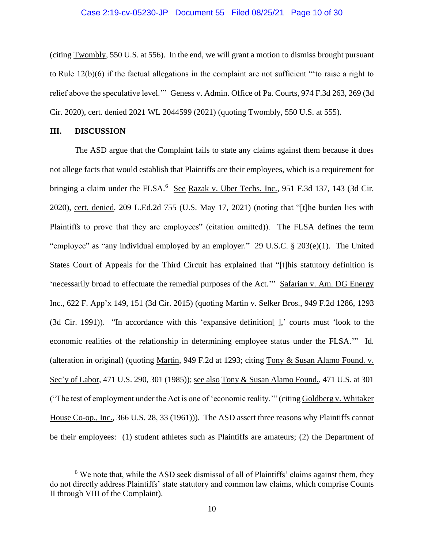#### Case 2:19-cv-05230-JP Document 55 Filed 08/25/21 Page 10 of 30

(citing Twombly, 550 U.S. at 556). In the end, we will grant a motion to dismiss brought pursuant to Rule 12(b)(6) if the factual allegations in the complaint are not sufficient "'to raise a right to relief above the speculative level.'" Geness v. Admin. Office of Pa. Courts, 974 F.3d 263, 269 (3d Cir. 2020), cert. denied 2021 WL 2044599 (2021) (quoting Twombly, 550 U.S. at 555).

#### **III. DISCUSSION**

The ASD argue that the Complaint fails to state any claims against them because it does not allege facts that would establish that Plaintiffs are their employees, which is a requirement for bringing a claim under the FLSA.<sup>6</sup> See Razak v. Uber Techs. Inc., 951 F.3d 137, 143 (3d Cir. 2020), cert. denied, 209 L.Ed.2d 755 (U.S. May 17, 2021) (noting that "[t]he burden lies with Plaintiffs to prove that they are employees" (citation omitted)). The FLSA defines the term "employee" as "any individual employed by an employer." 29 U.S.C.  $\S 203(e)(1)$ . The United States Court of Appeals for the Third Circuit has explained that "[t]his statutory definition is 'necessarily broad to effectuate the remedial purposes of the Act.'" Safarian v. Am. DG Energy Inc., 622 F. App'x 149, 151 (3d Cir. 2015) (quoting Martin v. Selker Bros., 949 F.2d 1286, 1293 (3d Cir. 1991)). "In accordance with this 'expansive definition[ ],' courts must 'look to the economic realities of the relationship in determining employee status under the FLSA.'" Id. (alteration in original) (quoting Martin, 949 F.2d at 1293; citing Tony & Susan Alamo Found. v. Sec'y of Labor, 471 U.S. 290, 301 (1985)); see also Tony & Susan Alamo Found., 471 U.S. at 301 ("The test of employment under the Act is one of 'economic reality.'" (citing Goldberg v. Whitaker House Co-op., Inc., 366 U.S. 28, 33 (1961))). The ASD assert three reasons why Plaintiffs cannot be their employees: (1) student athletes such as Plaintiffs are amateurs; (2) the Department of

 $6$  We note that, while the ASD seek dismissal of all of Plaintiffs' claims against them, they do not directly address Plaintiffs' state statutory and common law claims, which comprise Counts II through VIII of the Complaint).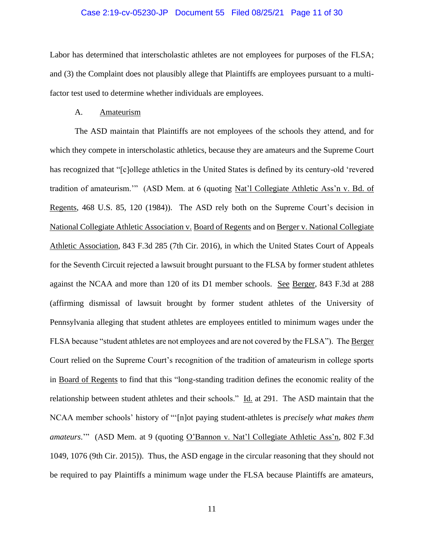#### Case 2:19-cv-05230-JP Document 55 Filed 08/25/21 Page 11 of 30

Labor has determined that interscholastic athletes are not employees for purposes of the FLSA; and (3) the Complaint does not plausibly allege that Plaintiffs are employees pursuant to a multifactor test used to determine whether individuals are employees.

#### A. Amateurism

The ASD maintain that Plaintiffs are not employees of the schools they attend, and for which they compete in interscholastic athletics, because they are amateurs and the Supreme Court has recognized that "[c]ollege athletics in the United States is defined by its century-old 'revered tradition of amateurism.'" (ASD Mem. at 6 (quoting Nat'l Collegiate Athletic Ass'n v. Bd. of Regents, 468 U.S. 85, 120 (1984)). The ASD rely both on the Supreme Court's decision in National Collegiate Athletic Association v. Board of Regents and on Berger v. National Collegiate Athletic Association, 843 F.3d 285 (7th Cir. 2016), in which the United States Court of Appeals for the Seventh Circuit rejected a lawsuit brought pursuant to the FLSA by former student athletes against the NCAA and more than 120 of its D1 member schools. See Berger, 843 F.3d at 288 (affirming dismissal of lawsuit brought by former student athletes of the University of Pennsylvania alleging that student athletes are employees entitled to minimum wages under the FLSA because "student athletes are not employees and are not covered by the FLSA"). The Berger Court relied on the Supreme Court's recognition of the tradition of amateurism in college sports in Board of Regents to find that this "long-standing tradition defines the economic reality of the relationship between student athletes and their schools." Id. at 291. The ASD maintain that the NCAA member schools' history of "'[n]ot paying student-athletes is *precisely what makes them amateurs.*"" (ASD Mem. at 9 (quoting O'Bannon v. Nat'l Collegiate Athletic Ass'n, 802 F.3d 1049, 1076 (9th Cir. 2015)). Thus, the ASD engage in the circular reasoning that they should not be required to pay Plaintiffs a minimum wage under the FLSA because Plaintiffs are amateurs,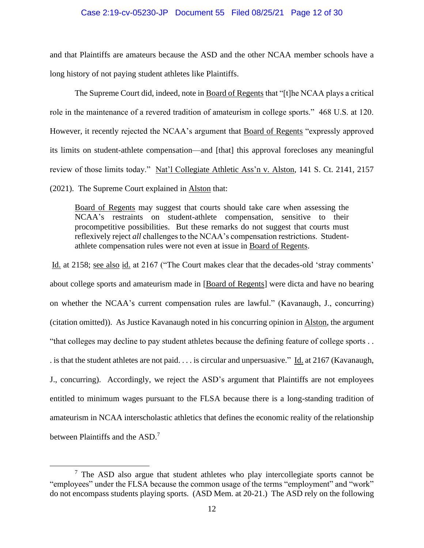#### Case 2:19-cv-05230-JP Document 55 Filed 08/25/21 Page 12 of 30

and that Plaintiffs are amateurs because the ASD and the other NCAA member schools have a long history of not paying student athletes like Plaintiffs.

The Supreme Court did, indeed, note in Board of Regents that "[t]he NCAA plays a critical role in the maintenance of a revered tradition of amateurism in college sports." 468 U.S. at 120. However, it recently rejected the NCAA's argument that Board of Regents "expressly approved its limits on student-athlete compensation—and [that] this approval forecloses any meaningful review of those limits today." Nat'l Collegiate Athletic Ass'n v. Alston, 141 S. Ct. 2141, 2157 (2021). The Supreme Court explained in Alston that:

Board of Regents may suggest that courts should take care when assessing the NCAA's restraints on student-athlete compensation, sensitive to their procompetitive possibilities. But these remarks do not suggest that courts must reflexively reject *all* challenges to the NCAA's compensation restrictions. Studentathlete compensation rules were not even at issue in Board of Regents.

Id. at 2158; see also id. at 2167 ("The Court makes clear that the decades-old 'stray comments' about college sports and amateurism made in [Board of Regents] were dicta and have no bearing on whether the NCAA's current compensation rules are lawful." (Kavanaugh, J., concurring) (citation omitted)). As Justice Kavanaugh noted in his concurring opinion in Alston, the argument "that colleges may decline to pay student athletes because the defining feature of college sports . . . is that the student athletes are not paid. . . . is circular and unpersuasive." Id. at 2167 (Kavanaugh, J., concurring). Accordingly, we reject the ASD's argument that Plaintiffs are not employees entitled to minimum wages pursuant to the FLSA because there is a long-standing tradition of amateurism in NCAA interscholastic athletics that defines the economic reality of the relationship between Plaintiffs and the ASD.<sup>7</sup>

 $<sup>7</sup>$  The ASD also argue that student athletes who play intercollegiate sports cannot be</sup> "employees" under the FLSA because the common usage of the terms "employment" and "work" do not encompass students playing sports. (ASD Mem. at 20-21.) The ASD rely on the following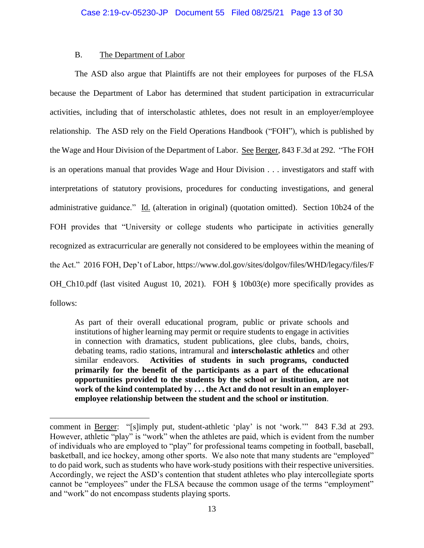# B. The Department of Labor

The ASD also argue that Plaintiffs are not their employees for purposes of the FLSA because the Department of Labor has determined that student participation in extracurricular activities, including that of interscholastic athletes, does not result in an employer/employee relationship. The ASD rely on the Field Operations Handbook ("FOH"), which is published by the Wage and Hour Division of the Department of Labor. See Berger, 843 F.3d at 292. "The FOH is an operations manual that provides Wage and Hour Division . . . investigators and staff with interpretations of statutory provisions, procedures for conducting investigations, and general administrative guidance." Id. (alteration in original) (quotation omitted). Section 10b24 of the FOH provides that "University or college students who participate in activities generally recognized as extracurricular are generally not considered to be employees within the meaning of the Act." 2016 FOH, Dep't of Labor, https://www.dol.gov/sites/dolgov/files/WHD/legacy/files/F OH\_Ch10.pdf (last visited August 10, 2021). FOH § 10b03(e) more specifically provides as follows:

As part of their overall educational program, public or private schools and institutions of higher learning may permit or require students to engage in activities in connection with dramatics, student publications, glee clubs, bands, choirs, debating teams, radio stations, intramural and **interscholastic athletics** and other similar endeavors. **Activities of students in such programs, conducted primarily for the benefit of the participants as a part of the educational opportunities provided to the students by the school or institution, are not work of the kind contemplated by . . . the Act and do not result in an employeremployee relationship between the student and the school or institution**.

comment in Berger: "[s]imply put, student-athletic 'play' is not 'work.'" 843 F.3d at 293. However, athletic "play" is "work" when the athletes are paid, which is evident from the number of individuals who are employed to "play" for professional teams competing in football, baseball, basketball, and ice hockey, among other sports. We also note that many students are "employed" to do paid work, such as students who have work-study positions with their respective universities. Accordingly, we reject the ASD's contention that student athletes who play intercollegiate sports cannot be "employees" under the FLSA because the common usage of the terms "employment" and "work" do not encompass students playing sports.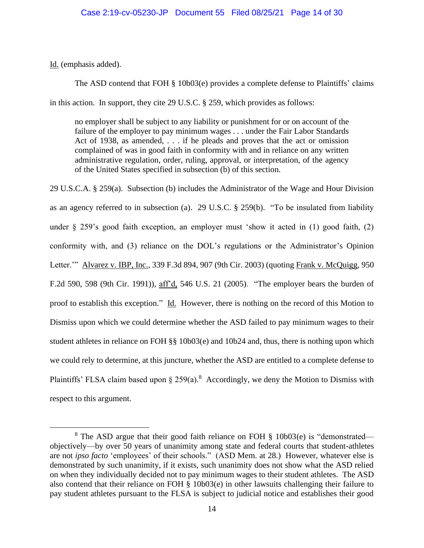Id. (emphasis added).

The ASD contend that FOH § 10b03(e) provides a complete defense to Plaintiffs' claims in this action. In support, they cite 29 U.S.C. § 259, which provides as follows:

no employer shall be subject to any liability or punishment for or on account of the failure of the employer to pay minimum wages . . . under the Fair Labor Standards Act of 1938, as amended, . . . if he pleads and proves that the act or omission complained of was in good faith in conformity with and in reliance on any written administrative regulation, order, ruling, approval, or interpretation, of the agency of the United States specified in subsection (b) of this section.

29 U.S.C.A. § 259(a). Subsection (b) includes the Administrator of the Wage and Hour Division as an agency referred to in subsection (a). 29 U.S.C. § 259(b). "To be insulated from liability under § 259's good faith exception, an employer must 'show it acted in (1) good faith, (2) conformity with, and (3) reliance on the DOL's regulations or the Administrator's Opinion Letter." Alvarez v. IBP, Inc., 339 F.3d 894, 907 (9th Cir. 2003) (quoting Frank v. McQuigg, 950 F.2d 590, 598 (9th Cir. 1991)), aff'd, 546 U.S. 21 (2005). "The employer bears the burden of proof to establish this exception." Id. However, there is nothing on the record of this Motion to Dismiss upon which we could determine whether the ASD failed to pay minimum wages to their student athletes in reliance on FOH §§ 10b03(e) and 10b24 and, thus, there is nothing upon which we could rely to determine, at this juncture, whether the ASD are entitled to a complete defense to Plaintiffs' FLSA claim based upon  $\S 259(a)$ .<sup>8</sup> Accordingly, we deny the Motion to Dismiss with respect to this argument.

<sup>&</sup>lt;sup>8</sup> The ASD argue that their good faith reliance on FOH § 10b03(e) is "demonstrated objectively—by over 50 years of unanimity among state and federal courts that student-athletes are not *ipso facto* 'employees' of their schools." (ASD Mem. at 28.) However, whatever else is demonstrated by such unanimity, if it exists, such unanimity does not show what the ASD relied on when they individually decided not to pay minimum wages to their student athletes. The ASD also contend that their reliance on FOH § 10b03(e) in other lawsuits challenging their failure to pay student athletes pursuant to the FLSA is subject to judicial notice and establishes their good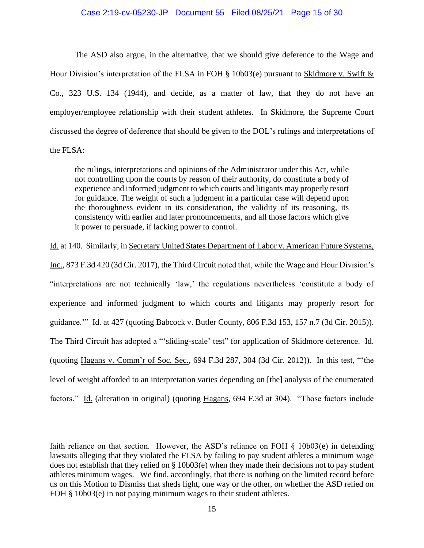## Case 2:19-cv-05230-JP Document 55 Filed 08/25/21 Page 15 of 30

The ASD also argue, in the alternative, that we should give deference to the Wage and Hour Division's interpretation of the FLSA in FOH § 10b03(e) pursuant to Skidmore v. Swift & Co., 323 U.S. 134 (1944), and decide, as a matter of law, that they do not have an employer/employee relationship with their student athletes. In Skidmore, the Supreme Court discussed the degree of deference that should be given to the DOL's rulings and interpretations of the FLSA:

the rulings, interpretations and opinions of the Administrator under this Act, while not controlling upon the courts by reason of their authority, do constitute a body of experience and informed judgment to which courts and litigants may properly resort for guidance. The weight of such a judgment in a particular case will depend upon the thoroughness evident in its consideration, the validity of its reasoning, its consistency with earlier and later pronouncements, and all those factors which give it power to persuade, if lacking power to control.

Id. at 140. Similarly, in Secretary United States Department of Labor v. American Future Systems,

Inc., 873 F.3d 420 (3d Cir. 2017), the Third Circuit noted that, while the Wage and Hour Division's "interpretations are not technically 'law,' the regulations nevertheless 'constitute a body of experience and informed judgment to which courts and litigants may properly resort for guidance.'" Id. at 427 (quoting Babcock v. Butler County, 806 F.3d 153, 157 n.7 (3d Cir. 2015)). The Third Circuit has adopted a "'sliding-scale' test" for application of Skidmore deference. Id. (quoting Hagans v. Comm'r of Soc. Sec., 694 F.3d 287, 304 (3d Cir. 2012)). In this test, "'the level of weight afforded to an interpretation varies depending on [the] analysis of the enumerated factors." Id. (alteration in original) (quoting Hagans, 694 F.3d at 304). "Those factors include

faith reliance on that section. However, the ASD's reliance on FOH § 10b03(e) in defending lawsuits alleging that they violated the FLSA by failing to pay student athletes a minimum wage does not establish that they relied on § 10b03(e) when they made their decisions not to pay student athletes minimum wages. We find, accordingly, that there is nothing on the limited record before us on this Motion to Dismiss that sheds light, one way or the other, on whether the ASD relied on FOH § 10b03(e) in not paying minimum wages to their student athletes.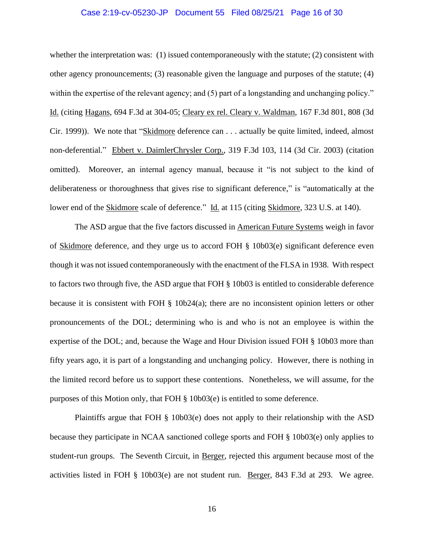#### Case 2:19-cv-05230-JP Document 55 Filed 08/25/21 Page 16 of 30

whether the interpretation was: (1) issued contemporaneously with the statute; (2) consistent with other agency pronouncements; (3) reasonable given the language and purposes of the statute; (4) within the expertise of the relevant agency; and (5) part of a longstanding and unchanging policy." Id. (citing Hagans, 694 F.3d at 304-05; Cleary ex rel. Cleary v. Waldman, 167 F.3d 801, 808 (3d Cir. 1999)). We note that "Skidmore deference can . . . actually be quite limited, indeed, almost non-deferential." Ebbert v. DaimlerChrysler Corp., 319 F.3d 103, 114 (3d Cir. 2003) (citation omitted). Moreover, an internal agency manual, because it "is not subject to the kind of deliberateness or thoroughness that gives rise to significant deference," is "automatically at the lower end of the Skidmore scale of deference." Id. at 115 (citing Skidmore, 323 U.S. at 140).

The ASD argue that the five factors discussed in American Future Systems weigh in favor of Skidmore deference, and they urge us to accord FOH § 10b03(e) significant deference even though it was not issued contemporaneously with the enactment of the FLSA in 1938. With respect to factors two through five, the ASD argue that FOH § 10b03 is entitled to considerable deference because it is consistent with FOH  $\S$  10b24(a); there are no inconsistent opinion letters or other pronouncements of the DOL; determining who is and who is not an employee is within the expertise of the DOL; and, because the Wage and Hour Division issued FOH § 10b03 more than fifty years ago, it is part of a longstanding and unchanging policy. However, there is nothing in the limited record before us to support these contentions. Nonetheless, we will assume, for the purposes of this Motion only, that FOH § 10b03(e) is entitled to some deference.

Plaintiffs argue that FOH § 10b03(e) does not apply to their relationship with the ASD because they participate in NCAA sanctioned college sports and FOH § 10b03(e) only applies to student-run groups. The Seventh Circuit, in Berger, rejected this argument because most of the activities listed in FOH § 10b03(e) are not student run. Berger, 843 F.3d at 293. We agree.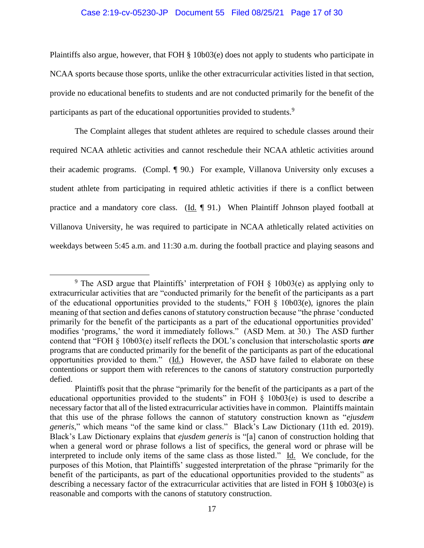#### Case 2:19-cv-05230-JP Document 55 Filed 08/25/21 Page 17 of 30

Plaintiffs also argue, however, that FOH § 10b03(e) does not apply to students who participate in NCAA sports because those sports, unlike the other extracurricular activities listed in that section, provide no educational benefits to students and are not conducted primarily for the benefit of the participants as part of the educational opportunities provided to students.<sup>9</sup>

The Complaint alleges that student athletes are required to schedule classes around their required NCAA athletic activities and cannot reschedule their NCAA athletic activities around their academic programs. (Compl. ¶ 90.) For example, Villanova University only excuses a student athlete from participating in required athletic activities if there is a conflict between practice and a mandatory core class. (Id. ¶ 91.) When Plaintiff Johnson played football at Villanova University, he was required to participate in NCAA athletically related activities on weekdays between 5:45 a.m. and 11:30 a.m. during the football practice and playing seasons and

<sup>&</sup>lt;sup>9</sup> The ASD argue that Plaintiffs' interpretation of FOH  $\S$  10b03(e) as applying only to extracurricular activities that are "conducted primarily for the benefit of the participants as a part of the educational opportunities provided to the students," FOH § 10b03(e), ignores the plain meaning of that section and defies canons of statutory construction because "the phrase 'conducted primarily for the benefit of the participants as a part of the educational opportunities provided' modifies 'programs,' the word it immediately follows." (ASD Mem. at 30.) The ASD further contend that "FOH § 10b03(e) itself reflects the DOL's conclusion that interscholastic sports *are* programs that are conducted primarily for the benefit of the participants as part of the educational opportunities provided to them." (Id.) However, the ASD have failed to elaborate on these contentions or support them with references to the canons of statutory construction purportedly defied.

Plaintiffs posit that the phrase "primarily for the benefit of the participants as a part of the educational opportunities provided to the students" in FOH § 10b03(e) is used to describe a necessary factor that all of the listed extracurricular activities have in common. Plaintiffs maintain that this use of the phrase follows the cannon of statutory construction known as "*ejusdem generis*," which means "of the same kind or class." Black's Law Dictionary (11th ed. 2019). Black's Law Dictionary explains that *ejusdem generis* is "[a] canon of construction holding that when a general word or phrase follows a list of specifics, the general word or phrase will be interpreted to include only items of the same class as those listed." Id. We conclude, for the purposes of this Motion, that Plaintiffs' suggested interpretation of the phrase "primarily for the benefit of the participants, as part of the educational opportunities provided to the students" as describing a necessary factor of the extracurricular activities that are listed in FOH § 10b03(e) is reasonable and comports with the canons of statutory construction.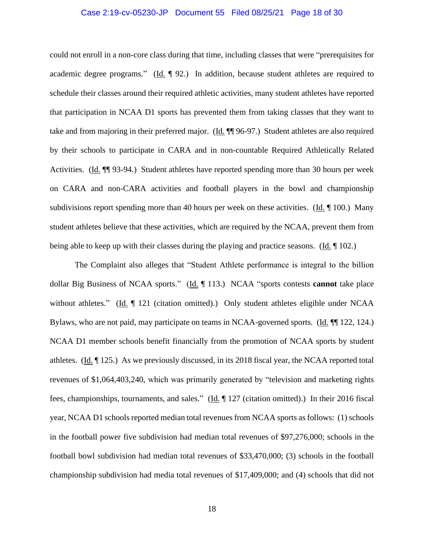#### Case 2:19-cv-05230-JP Document 55 Filed 08/25/21 Page 18 of 30

could not enroll in a non-core class during that time, including classes that were "prerequisites for academic degree programs." (Id. ¶ 92.) In addition, because student athletes are required to schedule their classes around their required athletic activities, many student athletes have reported that participation in NCAA D1 sports has prevented them from taking classes that they want to take and from majoring in their preferred major. (Id. ¶¶ 96-97.) Student athletes are also required by their schools to participate in CARA and in non-countable Required Athletically Related Activities. (Id. ¶¶ 93-94.) Student athletes have reported spending more than 30 hours per week on CARA and non-CARA activities and football players in the bowl and championship subdivisions report spending more than 40 hours per week on these activities. (Id. 100.) Many student athletes believe that these activities, which are required by the NCAA, prevent them from being able to keep up with their classes during the playing and practice seasons. (Id. ¶ 102.)

The Complaint also alleges that "Student Athlete performance is integral to the billion dollar Big Business of NCAA sports." (Id. ¶ 113.) NCAA "sports contests **cannot** take place without athletes." (Id. ¶ 121 (citation omitted).) Only student athletes eligible under NCAA Bylaws, who are not paid, may participate on teams in NCAA-governed sports. (Id. ¶¶ 122, 124.) NCAA D1 member schools benefit financially from the promotion of NCAA sports by student athletes. (Id. ¶ 125.) As we previously discussed, in its 2018 fiscal year, the NCAA reported total revenues of \$1,064,403,240, which was primarily generated by "television and marketing rights fees, championships, tournaments, and sales." (Id. 127 (citation omitted).) In their 2016 fiscal year, NCAA D1 schools reported median total revenues from NCAA sports as follows: (1) schools in the football power five subdivision had median total revenues of \$97,276,000; schools in the football bowl subdivision had median total revenues of \$33,470,000; (3) schools in the football championship subdivision had media total revenues of \$17,409,000; and (4) schools that did not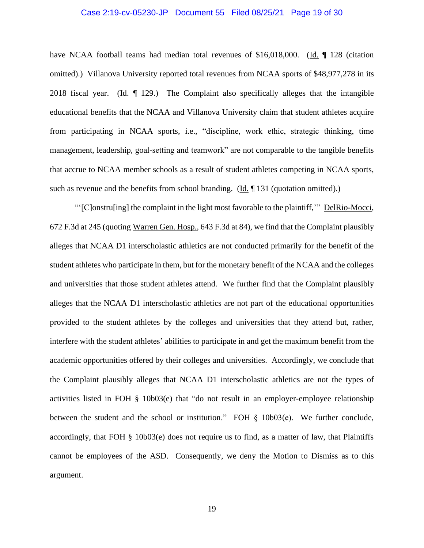#### Case 2:19-cv-05230-JP Document 55 Filed 08/25/21 Page 19 of 30

have NCAA football teams had median total revenues of \$16,018,000. (Id. 128 (citation omitted).) Villanova University reported total revenues from NCAA sports of \$48,977,278 in its 2018 fiscal year.  $(Id. \text{ } \P$  129.) The Complaint also specifically alleges that the intangible educational benefits that the NCAA and Villanova University claim that student athletes acquire from participating in NCAA sports, i.e., "discipline, work ethic, strategic thinking, time management, leadership, goal-setting and teamwork" are not comparable to the tangible benefits that accrue to NCAA member schools as a result of student athletes competing in NCAA sports, such as revenue and the benefits from school branding. (Id. 1 131 (quotation omitted).)

"'[C]onstru[ing] the complaint in the light most favorable to the plaintiff,'" DelRio-Mocci, 672 F.3d at 245 (quoting Warren Gen. Hosp., 643 F.3d at 84), we find that the Complaint plausibly alleges that NCAA D1 interscholastic athletics are not conducted primarily for the benefit of the student athletes who participate in them, but for the monetary benefit of the NCAA and the colleges and universities that those student athletes attend. We further find that the Complaint plausibly alleges that the NCAA D1 interscholastic athletics are not part of the educational opportunities provided to the student athletes by the colleges and universities that they attend but, rather, interfere with the student athletes' abilities to participate in and get the maximum benefit from the academic opportunities offered by their colleges and universities. Accordingly, we conclude that the Complaint plausibly alleges that NCAA D1 interscholastic athletics are not the types of activities listed in FOH § 10b03(e) that "do not result in an employer-employee relationship between the student and the school or institution." FOH § 10b03(e). We further conclude, accordingly, that FOH § 10b03(e) does not require us to find, as a matter of law, that Plaintiffs cannot be employees of the ASD. Consequently, we deny the Motion to Dismiss as to this argument.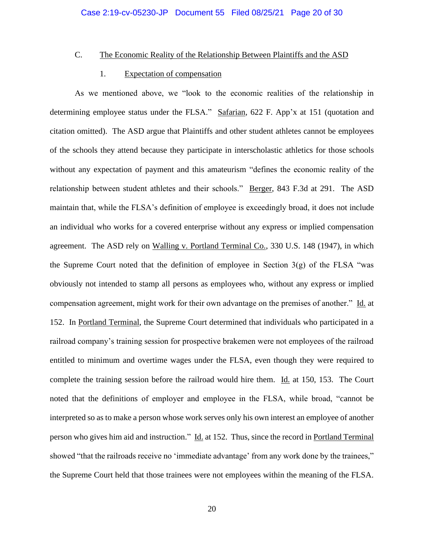## C. The Economic Reality of the Relationship Between Plaintiffs and the ASD

### 1. Expectation of compensation

As we mentioned above, we "look to the economic realities of the relationship in determining employee status under the FLSA." Safarian, 622 F. App'x at 151 (quotation and citation omitted). The ASD argue that Plaintiffs and other student athletes cannot be employees of the schools they attend because they participate in interscholastic athletics for those schools without any expectation of payment and this amateurism "defines the economic reality of the relationship between student athletes and their schools." Berger, 843 F.3d at 291. The ASD maintain that, while the FLSA's definition of employee is exceedingly broad, it does not include an individual who works for a covered enterprise without any express or implied compensation agreement. The ASD rely on Walling v. Portland Terminal Co., 330 U.S. 148 (1947), in which the Supreme Court noted that the definition of employee in Section  $3(g)$  of the FLSA "was obviously not intended to stamp all persons as employees who, without any express or implied compensation agreement, might work for their own advantage on the premises of another." Id. at 152. In Portland Terminal, the Supreme Court determined that individuals who participated in a railroad company's training session for prospective brakemen were not employees of the railroad entitled to minimum and overtime wages under the FLSA, even though they were required to complete the training session before the railroad would hire them. Id. at 150, 153. The Court noted that the definitions of employer and employee in the FLSA, while broad, "cannot be interpreted so as to make a person whose work serves only his own interest an employee of another person who gives him aid and instruction." Id. at 152. Thus, since the record in Portland Terminal showed "that the railroads receive no 'immediate advantage' from any work done by the trainees," the Supreme Court held that those trainees were not employees within the meaning of the FLSA.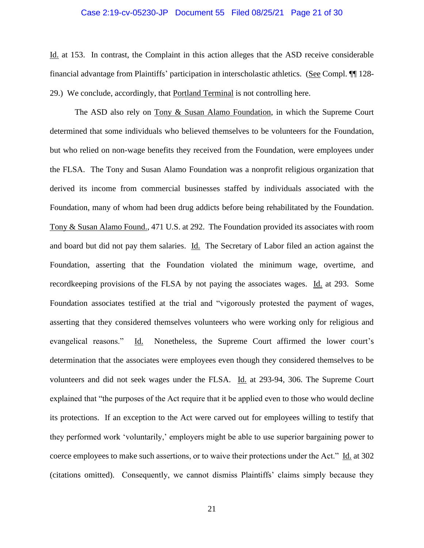#### Case 2:19-cv-05230-JP Document 55 Filed 08/25/21 Page 21 of 30

Id. at 153. In contrast, the Complaint in this action alleges that the ASD receive considerable financial advantage from Plaintiffs' participation in interscholastic athletics. (See Compl. ¶¶ 128- 29.) We conclude, accordingly, that Portland Terminal is not controlling here.

The ASD also rely on Tony & Susan Alamo Foundation, in which the Supreme Court determined that some individuals who believed themselves to be volunteers for the Foundation, but who relied on non-wage benefits they received from the Foundation, were employees under the FLSA. The Tony and Susan Alamo Foundation was a nonprofit religious organization that derived its income from commercial businesses staffed by individuals associated with the Foundation, many of whom had been drug addicts before being rehabilitated by the Foundation. Tony & Susan Alamo Found., 471 U.S. at 292. The Foundation provided its associates with room and board but did not pay them salaries. Id. The Secretary of Labor filed an action against the Foundation, asserting that the Foundation violated the minimum wage, overtime, and recordkeeping provisions of the FLSA by not paying the associates wages. Id. at 293. Some Foundation associates testified at the trial and "vigorously protested the payment of wages, asserting that they considered themselves volunteers who were working only for religious and evangelical reasons." Id. Nonetheless, the Supreme Court affirmed the lower court's determination that the associates were employees even though they considered themselves to be volunteers and did not seek wages under the FLSA. Id. at 293-94, 306. The Supreme Court explained that "the purposes of the Act require that it be applied even to those who would decline its protections. If an exception to the Act were carved out for employees willing to testify that they performed work 'voluntarily,' employers might be able to use superior bargaining power to coerce employees to make such assertions, or to waive their protections under the Act." Id. at 302 (citations omitted). Consequently, we cannot dismiss Plaintiffs' claims simply because they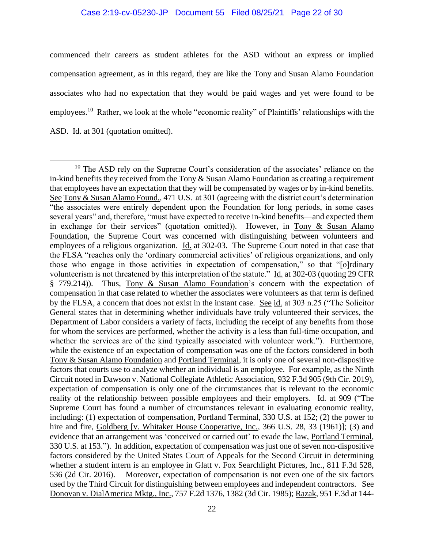commenced their careers as student athletes for the ASD without an express or implied compensation agreement, as in this regard, they are like the Tony and Susan Alamo Foundation associates who had no expectation that they would be paid wages and yet were found to be employees.<sup>10</sup> Rather, we look at the whole "economic reality" of Plaintiffs' relationships with the ASD. Id. at 301 (quotation omitted).

<sup>&</sup>lt;sup>10</sup> The ASD rely on the Supreme Court's consideration of the associates' reliance on the in-kind benefits they received from the Tony  $&$  Susan Alamo Foundation as creating a requirement that employees have an expectation that they will be compensated by wages or by in-kind benefits. See Tony & Susan Alamo Found., 471 U.S. at 301 (agreeing with the district court's determination "the associates were entirely dependent upon the Foundation for long periods, in some cases several years" and, therefore, "must have expected to receive in-kind benefits—and expected them in exchange for their services" (quotation omitted)). However, in Tony & Susan Alamo Foundation, the Supreme Court was concerned with distinguishing between volunteers and employees of a religious organization. Id. at 302-03. The Supreme Court noted in that case that the FLSA "reaches only the 'ordinary commercial activities' of religious organizations, and only those who engage in those activities in expectation of compensation," so that "[o]rdinary volunteerism is not threatened by this interpretation of the statute." Id. at 302-03 (quoting 29 CFR § 779.214)). Thus, Tony & Susan Alamo Foundation's concern with the expectation of compensation in that case related to whether the associates were volunteers as that term is defined by the FLSA, a concern that does not exist in the instant case. See id. at 303 n.25 ("The Solicitor General states that in determining whether individuals have truly volunteered their services, the Department of Labor considers a variety of facts, including the receipt of any benefits from those for whom the services are performed, whether the activity is a less than full-time occupation, and whether the services are of the kind typically associated with volunteer work."). Furthermore, while the existence of an expectation of compensation was one of the factors considered in both Tony & Susan Alamo Foundation and Portland Terminal, it is only one of several non-dispositive factors that courts use to analyze whether an individual is an employee. For example, as the Ninth Circuit noted in Dawson v. National Collegiate Athletic Association, 932 F.3d 905 (9th Cir. 2019), expectation of compensation is only one of the circumstances that is relevant to the economic reality of the relationship between possible employees and their employers. Id. at 909 ("The Supreme Court has found a number of circumstances relevant in evaluating economic reality, including: (1) expectation of compensation, Portland Terminal, 330 U.S. at 152; (2) the power to hire and fire, Goldberg [v. Whitaker House Cooperative, Inc., 366 U.S. 28, 33 (1961)]; (3) and evidence that an arrangement was 'conceived or carried out' to evade the law, Portland Terminal, 330 U.S. at 153."). In addition, expectation of compensation was just one of seven non-dispositive factors considered by the United States Court of Appeals for the Second Circuit in determining whether a student intern is an employee in Glatt v. Fox Searchlight Pictures, Inc., 811 F.3d 528, 536 (2d Cir. 2016). Moreover, expectation of compensation is not even one of the six factors used by the Third Circuit for distinguishing between employees and independent contractors. See Donovan v. DialAmerica Mktg., Inc., 757 F.2d 1376, 1382 (3d Cir. 1985); Razak, 951 F.3d at 144-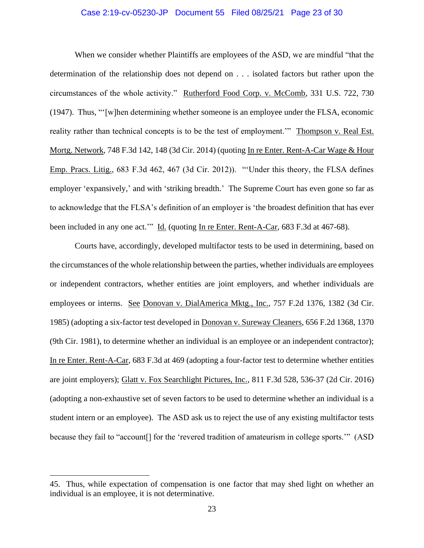#### Case 2:19-cv-05230-JP Document 55 Filed 08/25/21 Page 23 of 30

When we consider whether Plaintiffs are employees of the ASD, we are mindful "that the determination of the relationship does not depend on . . . isolated factors but rather upon the circumstances of the whole activity." Rutherford Food Corp. v. McComb, 331 U.S. 722, 730 (1947). Thus, "'[w]hen determining whether someone is an employee under the FLSA, economic reality rather than technical concepts is to be the test of employment.'" Thompson v. Real Est. Mortg. Network, 748 F.3d 142, 148 (3d Cir. 2014) (quoting In re Enter. Rent-A-Car Wage & Hour Emp. Pracs. Litig., 683 F.3d 462, 467 (3d Cir. 2012)). "'Under this theory, the FLSA defines employer 'expansively,' and with 'striking breadth.' The Supreme Court has even gone so far as to acknowledge that the FLSA's definition of an employer is 'the broadest definition that has ever been included in any one act.'" Id. (quoting In re Enter. Rent-A-Car, 683 F.3d at 467-68).

Courts have, accordingly, developed multifactor tests to be used in determining, based on the circumstances of the whole relationship between the parties, whether individuals are employees or independent contractors, whether entities are joint employers, and whether individuals are employees or interns. See Donovan v. DialAmerica Mktg., Inc., 757 F.2d 1376, 1382 (3d Cir. 1985) (adopting a six-factor test developed in Donovan v. Sureway Cleaners, 656 F.2d 1368, 1370 (9th Cir. 1981), to determine whether an individual is an employee or an independent contractor); In re Enter. Rent-A-Car, 683 F.3d at 469 (adopting a four-factor test to determine whether entities are joint employers); Glatt v. Fox Searchlight Pictures, Inc., 811 F.3d 528, 536-37 (2d Cir. 2016) (adopting a non-exhaustive set of seven factors to be used to determine whether an individual is a student intern or an employee). The ASD ask us to reject the use of any existing multifactor tests because they fail to "account[] for the 'revered tradition of amateurism in college sports.'" (ASD

<sup>45.</sup> Thus, while expectation of compensation is one factor that may shed light on whether an individual is an employee, it is not determinative.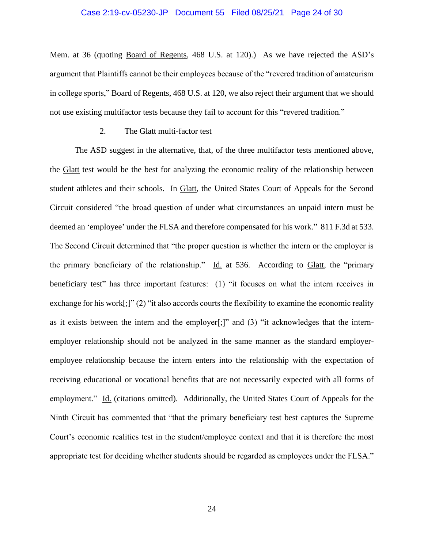#### Case 2:19-cv-05230-JP Document 55 Filed 08/25/21 Page 24 of 30

Mem. at 36 (quoting Board of Regents, 468 U.S. at 120).) As we have rejected the ASD's argument that Plaintiffs cannot be their employees because of the "revered tradition of amateurism in college sports," Board of Regents, 468 U.S. at 120, we also reject their argument that we should not use existing multifactor tests because they fail to account for this "revered tradition."

#### 2. The Glatt multi-factor test

The ASD suggest in the alternative, that, of the three multifactor tests mentioned above, the Glatt test would be the best for analyzing the economic reality of the relationship between student athletes and their schools. In Glatt, the United States Court of Appeals for the Second Circuit considered "the broad question of under what circumstances an unpaid intern must be deemed an 'employee' under the FLSA and therefore compensated for his work." 811 F.3d at 533. The Second Circuit determined that "the proper question is whether the intern or the employer is the primary beneficiary of the relationship." Id. at 536. According to  $G$ latt, the "primary beneficiary test" has three important features: (1) "it focuses on what the intern receives in exchange for his work[;]" (2) "it also accords courts the flexibility to examine the economic reality as it exists between the intern and the employer[;]" and (3) "it acknowledges that the internemployer relationship should not be analyzed in the same manner as the standard employeremployee relationship because the intern enters into the relationship with the expectation of receiving educational or vocational benefits that are not necessarily expected with all forms of employment." Id. (citations omitted). Additionally, the United States Court of Appeals for the Ninth Circuit has commented that "that the primary beneficiary test best captures the Supreme Court's economic realities test in the student/employee context and that it is therefore the most appropriate test for deciding whether students should be regarded as employees under the FLSA."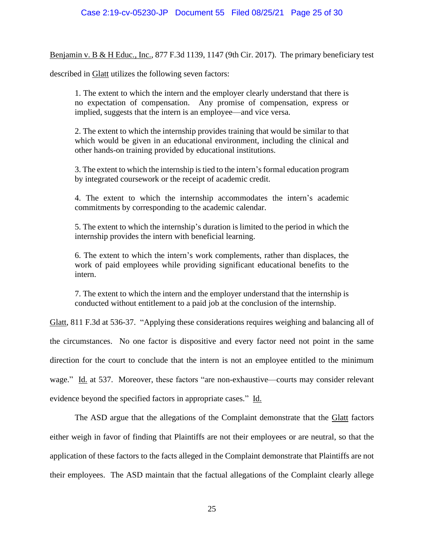Benjamin v. B & H Educ., Inc., 877 F.3d 1139, 1147 (9th Cir. 2017). The primary beneficiary test

described in Glatt utilizes the following seven factors:

1. The extent to which the intern and the employer clearly understand that there is no expectation of compensation. Any promise of compensation, express or implied, suggests that the intern is an employee—and vice versa.

2. The extent to which the internship provides training that would be similar to that which would be given in an educational environment, including the clinical and other hands-on training provided by educational institutions.

3. The extent to which the internship is tied to the intern's formal education program by integrated coursework or the receipt of academic credit.

4. The extent to which the internship accommodates the intern's academic commitments by corresponding to the academic calendar.

5. The extent to which the internship's duration is limited to the period in which the internship provides the intern with beneficial learning.

6. The extent to which the intern's work complements, rather than displaces, the work of paid employees while providing significant educational benefits to the intern.

7. The extent to which the intern and the employer understand that the internship is conducted without entitlement to a paid job at the conclusion of the internship.

Glatt, 811 F.3d at 536-37. "Applying these considerations requires weighing and balancing all of the circumstances. No one factor is dispositive and every factor need not point in the same direction for the court to conclude that the intern is not an employee entitled to the minimum wage." Id. at 537. Moreover, these factors "are non-exhaustive—courts may consider relevant evidence beyond the specified factors in appropriate cases." Id.

The ASD argue that the allegations of the Complaint demonstrate that the Glatt factors either weigh in favor of finding that Plaintiffs are not their employees or are neutral, so that the application of these factors to the facts alleged in the Complaint demonstrate that Plaintiffs are not their employees. The ASD maintain that the factual allegations of the Complaint clearly allege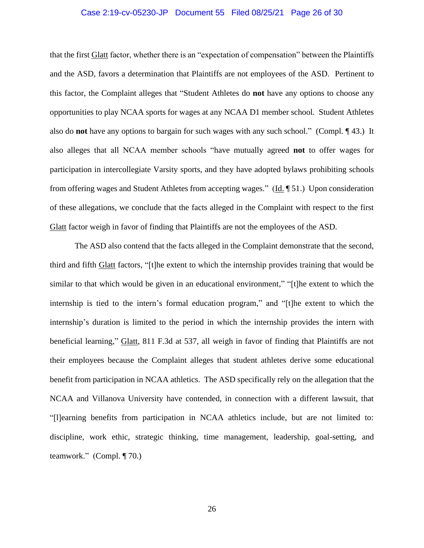#### Case 2:19-cv-05230-JP Document 55 Filed 08/25/21 Page 26 of 30

that the first Glatt factor, whether there is an "expectation of compensation" between the Plaintiffs and the ASD, favors a determination that Plaintiffs are not employees of the ASD. Pertinent to this factor, the Complaint alleges that "Student Athletes do **not** have any options to choose any opportunities to play NCAA sports for wages at any NCAA D1 member school. Student Athletes also do **not** have any options to bargain for such wages with any such school." (Compl. ¶ 43.) It also alleges that all NCAA member schools "have mutually agreed **not** to offer wages for participation in intercollegiate Varsity sports, and they have adopted bylaws prohibiting schools from offering wages and Student Athletes from accepting wages." (Id. ¶ 51.) Upon consideration of these allegations, we conclude that the facts alleged in the Complaint with respect to the first Glatt factor weigh in favor of finding that Plaintiffs are not the employees of the ASD.

The ASD also contend that the facts alleged in the Complaint demonstrate that the second, third and fifth Glatt factors, "[t]he extent to which the internship provides training that would be similar to that which would be given in an educational environment," "[t]he extent to which the internship is tied to the intern's formal education program," and "[t]he extent to which the internship's duration is limited to the period in which the internship provides the intern with beneficial learning," Glatt, 811 F.3d at 537, all weigh in favor of finding that Plaintiffs are not their employees because the Complaint alleges that student athletes derive some educational benefit from participation in NCAA athletics. The ASD specifically rely on the allegation that the NCAA and Villanova University have contended, in connection with a different lawsuit, that "[l]earning benefits from participation in NCAA athletics include, but are not limited to: discipline, work ethic, strategic thinking, time management, leadership, goal-setting, and teamwork." (Compl. ¶ 70.)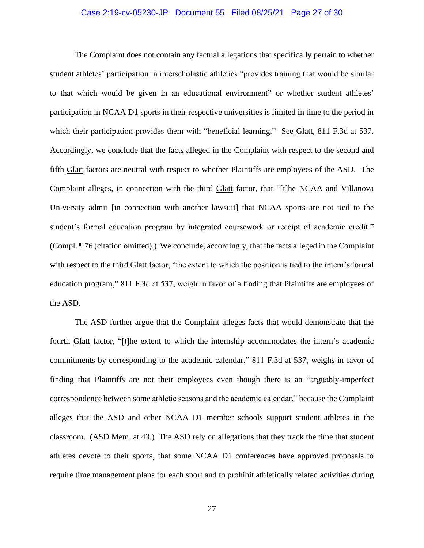#### Case 2:19-cv-05230-JP Document 55 Filed 08/25/21 Page 27 of 30

The Complaint does not contain any factual allegations that specifically pertain to whether student athletes' participation in interscholastic athletics "provides training that would be similar to that which would be given in an educational environment" or whether student athletes' participation in NCAA D1 sports in their respective universities is limited in time to the period in which their participation provides them with "beneficial learning." See Glatt, 811 F.3d at 537. Accordingly, we conclude that the facts alleged in the Complaint with respect to the second and fifth Glatt factors are neutral with respect to whether Plaintiffs are employees of the ASD. The Complaint alleges, in connection with the third Glatt factor, that "[t]he NCAA and Villanova University admit [in connection with another lawsuit] that NCAA sports are not tied to the student's formal education program by integrated coursework or receipt of academic credit." (Compl. ¶ 76 (citation omitted).) We conclude, accordingly, that the facts alleged in the Complaint with respect to the third Glatt factor, "the extent to which the position is tied to the intern's formal education program," 811 F.3d at 537, weigh in favor of a finding that Plaintiffs are employees of the ASD.

The ASD further argue that the Complaint alleges facts that would demonstrate that the fourth Glatt factor, "[t]he extent to which the internship accommodates the intern's academic commitments by corresponding to the academic calendar," 811 F.3d at 537, weighs in favor of finding that Plaintiffs are not their employees even though there is an "arguably-imperfect correspondence between some athletic seasons and the academic calendar," because the Complaint alleges that the ASD and other NCAA D1 member schools support student athletes in the classroom. (ASD Mem. at 43.) The ASD rely on allegations that they track the time that student athletes devote to their sports, that some NCAA D1 conferences have approved proposals to require time management plans for each sport and to prohibit athletically related activities during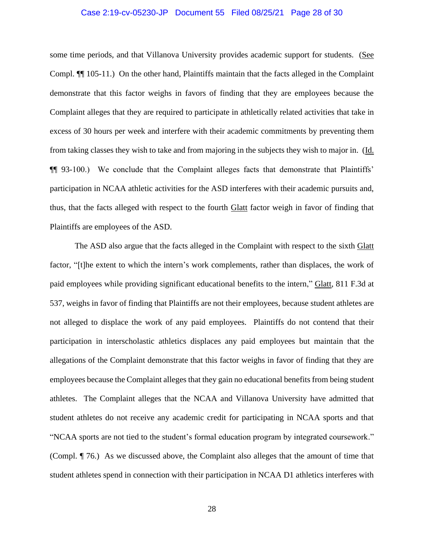#### Case 2:19-cv-05230-JP Document 55 Filed 08/25/21 Page 28 of 30

some time periods, and that Villanova University provides academic support for students. (See Compl. ¶¶ 105-11.) On the other hand, Plaintiffs maintain that the facts alleged in the Complaint demonstrate that this factor weighs in favors of finding that they are employees because the Complaint alleges that they are required to participate in athletically related activities that take in excess of 30 hours per week and interfere with their academic commitments by preventing them from taking classes they wish to take and from majoring in the subjects they wish to major in. (Id. ¶¶ 93-100.) We conclude that the Complaint alleges facts that demonstrate that Plaintiffs' participation in NCAA athletic activities for the ASD interferes with their academic pursuits and, thus, that the facts alleged with respect to the fourth Glatt factor weigh in favor of finding that Plaintiffs are employees of the ASD.

The ASD also argue that the facts alleged in the Complaint with respect to the sixth Glatt factor, "[t]he extent to which the intern's work complements, rather than displaces, the work of paid employees while providing significant educational benefits to the intern," Glatt, 811 F.3d at 537, weighs in favor of finding that Plaintiffs are not their employees, because student athletes are not alleged to displace the work of any paid employees. Plaintiffs do not contend that their participation in interscholastic athletics displaces any paid employees but maintain that the allegations of the Complaint demonstrate that this factor weighs in favor of finding that they are employees because the Complaint alleges that they gain no educational benefits from being student athletes. The Complaint alleges that the NCAA and Villanova University have admitted that student athletes do not receive any academic credit for participating in NCAA sports and that "NCAA sports are not tied to the student's formal education program by integrated coursework." (Compl. ¶ 76.) As we discussed above, the Complaint also alleges that the amount of time that student athletes spend in connection with their participation in NCAA D1 athletics interferes with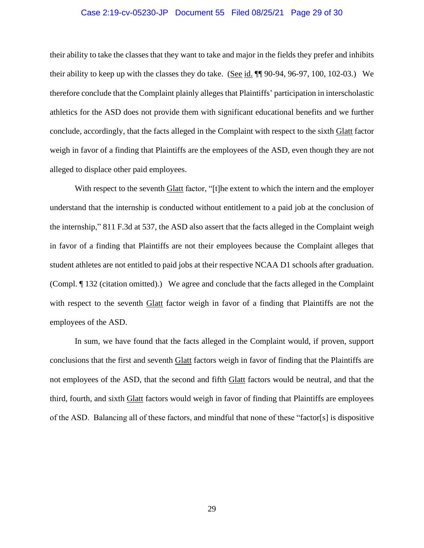#### Case 2:19-cv-05230-JP Document 55 Filed 08/25/21 Page 29 of 30

their ability to take the classes that they want to take and major in the fields they prefer and inhibits their ability to keep up with the classes they do take. (See id. ¶¶ 90-94, 96-97, 100, 102-03.) We therefore conclude that the Complaint plainly alleges that Plaintiffs' participation in interscholastic athletics for the ASD does not provide them with significant educational benefits and we further conclude, accordingly, that the facts alleged in the Complaint with respect to the sixth Glatt factor weigh in favor of a finding that Plaintiffs are the employees of the ASD, even though they are not alleged to displace other paid employees.

With respect to the seventh Glatt factor, "[t]he extent to which the intern and the employer understand that the internship is conducted without entitlement to a paid job at the conclusion of the internship," 811 F.3d at 537, the ASD also assert that the facts alleged in the Complaint weigh in favor of a finding that Plaintiffs are not their employees because the Complaint alleges that student athletes are not entitled to paid jobs at their respective NCAA D1 schools after graduation. (Compl. ¶ 132 (citation omitted).) We agree and conclude that the facts alleged in the Complaint with respect to the seventh Glatt factor weigh in favor of a finding that Plaintiffs are not the employees of the ASD.

In sum, we have found that the facts alleged in the Complaint would, if proven, support conclusions that the first and seventh Glatt factors weigh in favor of finding that the Plaintiffs are not employees of the ASD, that the second and fifth Glatt factors would be neutral, and that the third, fourth, and sixth Glatt factors would weigh in favor of finding that Plaintiffs are employees of the ASD. Balancing all of these factors, and mindful that none of these "factor[s] is dispositive